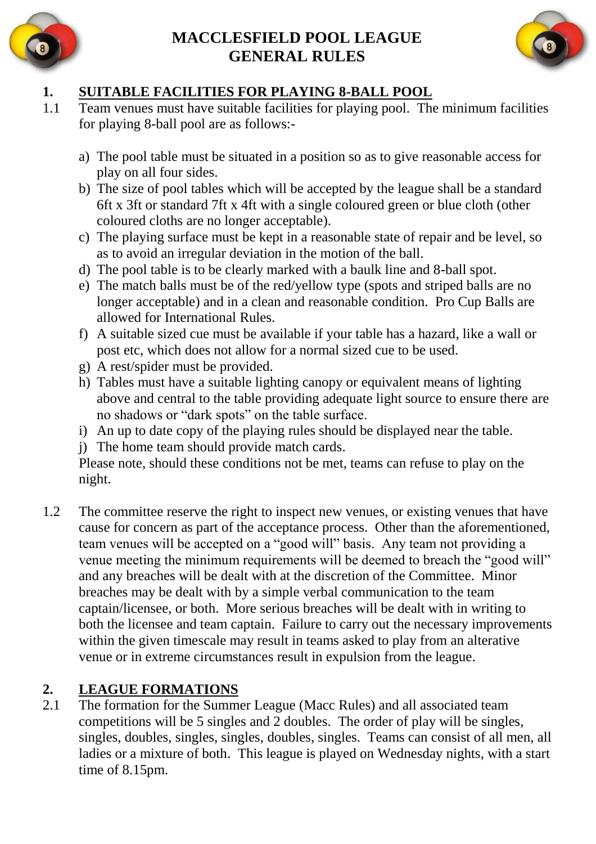

## **MACCLESFIELD POOL LEAGUE GENERAL RULES**



### **1. SUITABLE FACILITIES FOR PLAYING 8-BALL POOL**

- 1.1 Team venues must have suitable facilities for playing pool. The minimum facilities for playing 8-ball pool are as follows:
	- a) The pool table must be situated in a position so as to give reasonable access for play on all four sides.
	- b) The size of pool tables which will be accepted by the league shall be a standard 6ft x 3ft or standard 7ft x 4ft with a single coloured green or blue cloth (other coloured cloths are no longer acceptable).
	- c) The playing surface must be kept in a reasonable state of repair and be level, so as to avoid an irregular deviation in the motion of the ball.
	- d) The pool table is to be clearly marked with a baulk line and 8-ball spot.
	- e) The match balls must be of the red/yellow type (spots and striped balls are no longer acceptable) and in a clean and reasonable condition. Pro Cup Balls are allowed for International Rules.
	- f) A suitable sized cue must be available if your table has a hazard, like a wall or post etc, which does not allow for a normal sized cue to be used.
	- g) A rest/spider must be provided.
	- h) Tables must have a suitable lighting canopy or equivalent means of lighting above and central to the table providing adequate light source to ensure there are no shadows or "dark spots" on the table surface.
	- i) An up to date copy of the playing rules should be displayed near the table.
	- j) The home team should provide match cards.

Please note, should these conditions not be met, teams can refuse to play on the night.

1.2 The committee reserve the right to inspect new venues, or existing venues that have cause for concern as part of the acceptance process. Other than the aforementioned, team venues will be accepted on a "good will" basis. Any team not providing a venue meeting the minimum requirements will be deemed to breach the "good will" and any breaches will be dealt with at the discretion of the Committee. Minor breaches may be dealt with by a simple verbal communication to the team captain/licensee, or both. More serious breaches will be dealt with in writing to both the licensee and team captain. Failure to carry out the necessary improvements within the given timescale may result in teams asked to play from an alterative venue or in extreme circumstances result in expulsion from the league.

# **2. LEAGUE FORMATIONS**

2.1 The formation for the Summer League (Macc Rules) and all associated team competitions will be 5 singles and 2 doubles. The order of play will be singles, singles, doubles, singles, singles, doubles, singles. Teams can consist of all men, all ladies or a mixture of both. This league is played on Wednesday nights, with a start time of 8.15pm.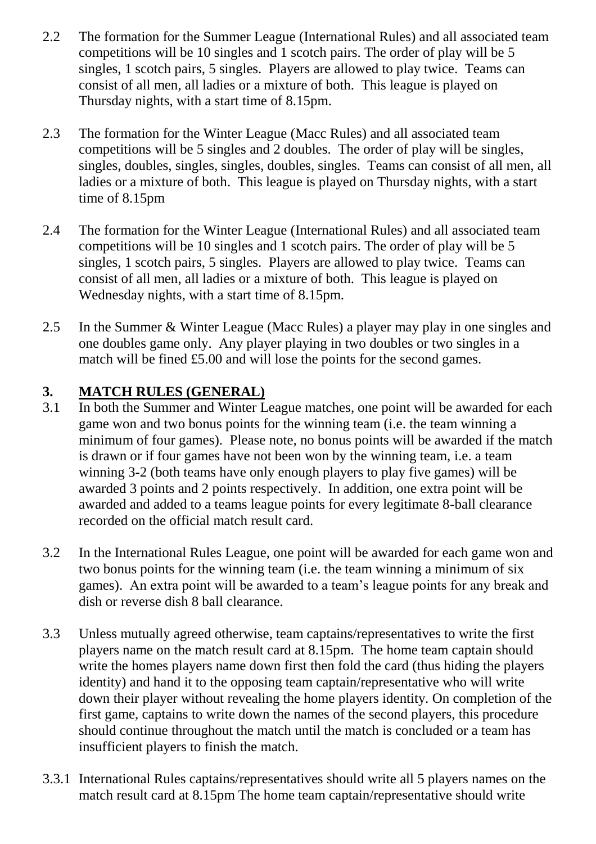- 2.2 The formation for the Summer League (International Rules) and all associated team competitions will be 10 singles and 1 scotch pairs. The order of play will be 5 singles, 1 scotch pairs, 5 singles. Players are allowed to play twice. Teams can consist of all men, all ladies or a mixture of both. This league is played on Thursday nights, with a start time of 8.15pm.
- 2.3 The formation for the Winter League (Macc Rules) and all associated team competitions will be 5 singles and 2 doubles. The order of play will be singles, singles, doubles, singles, singles, doubles, singles. Teams can consist of all men, all ladies or a mixture of both. This league is played on Thursday nights, with a start time of 8.15pm
- 2.4 The formation for the Winter League (International Rules) and all associated team competitions will be 10 singles and 1 scotch pairs. The order of play will be 5 singles, 1 scotch pairs, 5 singles. Players are allowed to play twice. Teams can consist of all men, all ladies or a mixture of both. This league is played on Wednesday nights, with a start time of 8.15pm.
- 2.5 In the Summer & Winter League (Macc Rules) a player may play in one singles and one doubles game only. Any player playing in two doubles or two singles in a match will be fined £5.00 and will lose the points for the second games.

## **3. MATCH RULES (GENERAL)**

- 3.1 In both the Summer and Winter League matches, one point will be awarded for each game won and two bonus points for the winning team (i.e. the team winning a minimum of four games). Please note, no bonus points will be awarded if the match is drawn or if four games have not been won by the winning team, i.e. a team winning 3-2 (both teams have only enough players to play five games) will be awarded 3 points and 2 points respectively. In addition, one extra point will be awarded and added to a teams league points for every legitimate 8-ball clearance recorded on the official match result card.
- 3.2 In the International Rules League, one point will be awarded for each game won and two bonus points for the winning team (i.e. the team winning a minimum of six games). An extra point will be awarded to a team's league points for any break and dish or reverse dish 8 ball clearance.
- 3.3 Unless mutually agreed otherwise, team captains/representatives to write the first players name on the match result card at 8.15pm. The home team captain should write the homes players name down first then fold the card (thus hiding the players identity) and hand it to the opposing team captain/representative who will write down their player without revealing the home players identity. On completion of the first game, captains to write down the names of the second players, this procedure should continue throughout the match until the match is concluded or a team has insufficient players to finish the match.
- 3.3.1 International Rules captains/representatives should write all 5 players names on the match result card at 8.15pm The home team captain/representative should write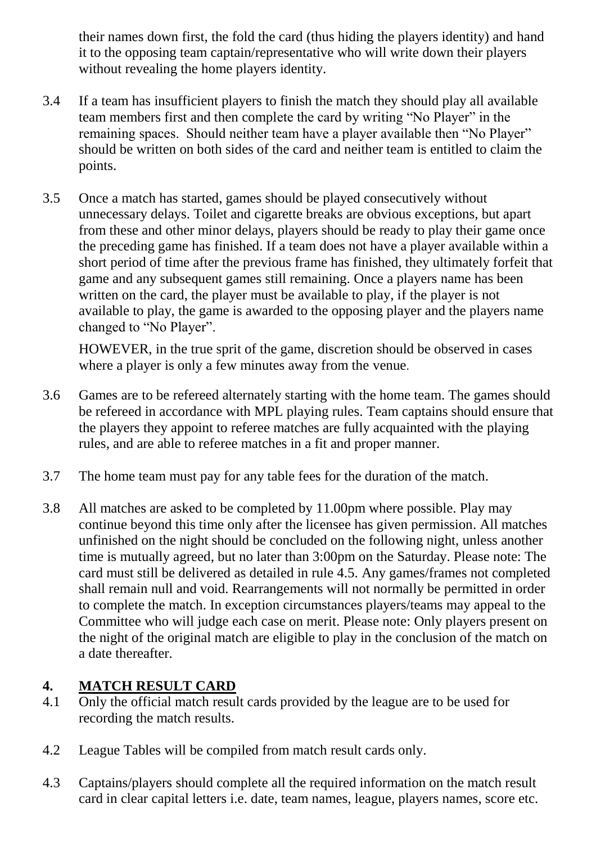their names down first, the fold the card (thus hiding the players identity) and hand it to the opposing team captain/representative who will write down their players without revealing the home players identity.

- 3.4 If a team has insufficient players to finish the match they should play all available team members first and then complete the card by writing "No Player" in the remaining spaces. Should neither team have a player available then "No Player" should be written on both sides of the card and neither team is entitled to claim the points.
- 3.5 Once a match has started, games should be played consecutively without unnecessary delays. Toilet and cigarette breaks are obvious exceptions, but apart from these and other minor delays, players should be ready to play their game once the preceding game has finished. If a team does not have a player available within a short period of time after the previous frame has finished, they ultimately forfeit that game and any subsequent games still remaining. Once a players name has been written on the card, the player must be available to play, if the player is not available to play, the game is awarded to the opposing player and the players name changed to "No Player".

HOWEVER, in the true sprit of the game, discretion should be observed in cases where a player is only a few minutes away from the venue.

- 3.6 Games are to be refereed alternately starting with the home team. The games should be refereed in accordance with MPL playing rules. Team captains should ensure that the players they appoint to referee matches are fully acquainted with the playing rules, and are able to referee matches in a fit and proper manner.
- 3.7 The home team must pay for any table fees for the duration of the match.
- 3.8 All matches are asked to be completed by 11.00pm where possible. Play may continue beyond this time only after the licensee has given permission. All matches unfinished on the night should be concluded on the following night, unless another time is mutually agreed, but no later than 3:00pm on the Saturday. Please note: The card must still be delivered as detailed in rule 4.5. Any games/frames not completed shall remain null and void. Rearrangements will not normally be permitted in order to complete the match. In exception circumstances players/teams may appeal to the Committee who will judge each case on merit. Please note: Only players present on the night of the original match are eligible to play in the conclusion of the match on a date thereafter.

### **4. MATCH RESULT CARD**

- 4.1 Only the official match result cards provided by the league are to be used for recording the match results.
- 4.2 League Tables will be compiled from match result cards only.
- 4.3 Captains/players should complete all the required information on the match result card in clear capital letters i.e. date, team names, league, players names, score etc.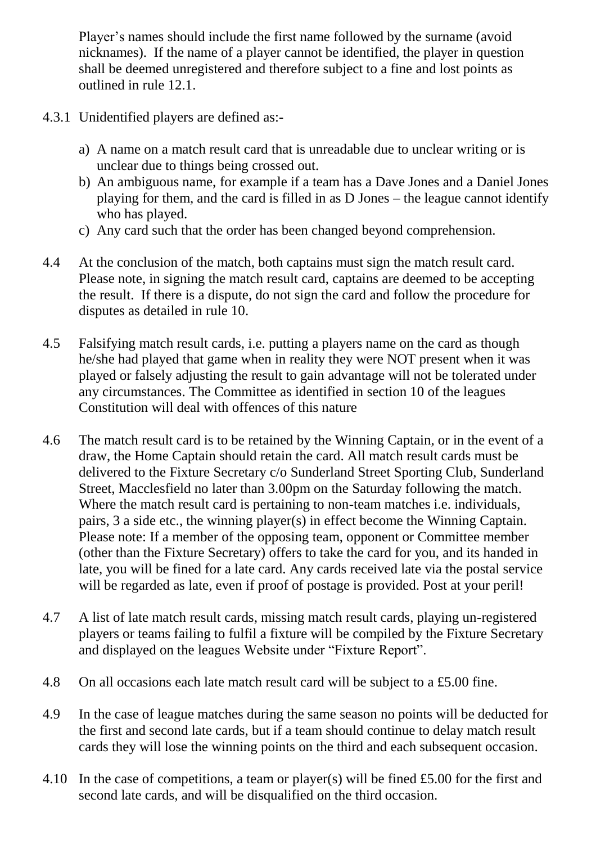Player's names should include the first name followed by the surname (avoid nicknames). If the name of a player cannot be identified, the player in question shall be deemed unregistered and therefore subject to a fine and lost points as outlined in rule 12.1.

- 4.3.1 Unidentified players are defined as:
	- a) A name on a match result card that is unreadable due to unclear writing or is unclear due to things being crossed out.
	- b) An ambiguous name, for example if a team has a Dave Jones and a Daniel Jones playing for them, and the card is filled in as D Jones – the league cannot identify who has played.
	- c) Any card such that the order has been changed beyond comprehension.
- 4.4 At the conclusion of the match, both captains must sign the match result card. Please note, in signing the match result card, captains are deemed to be accepting the result. If there is a dispute, do not sign the card and follow the procedure for disputes as detailed in rule 10.
- 4.5 Falsifying match result cards, i.e. putting a players name on the card as though he/she had played that game when in reality they were NOT present when it was played or falsely adjusting the result to gain advantage will not be tolerated under any circumstances. The Committee as identified in section 10 of the leagues Constitution will deal with offences of this nature
- 4.6 The match result card is to be retained by the Winning Captain, or in the event of a draw, the Home Captain should retain the card. All match result cards must be delivered to the Fixture Secretary c/o Sunderland Street Sporting Club, Sunderland Street, Macclesfield no later than 3.00pm on the Saturday following the match. Where the match result card is pertaining to non-team matches i.e. individuals, pairs, 3 a side etc., the winning player(s) in effect become the Winning Captain. Please note: If a member of the opposing team, opponent or Committee member (other than the Fixture Secretary) offers to take the card for you, and its handed in late, you will be fined for a late card. Any cards received late via the postal service will be regarded as late, even if proof of postage is provided. Post at your peril!
- 4.7 A list of late match result cards, missing match result cards, playing un-registered players or teams failing to fulfil a fixture will be compiled by the Fixture Secretary and displayed on the leagues Website under "Fixture Report".
- 4.8 On all occasions each late match result card will be subject to a £5.00 fine.
- 4.9 In the case of league matches during the same season no points will be deducted for the first and second late cards, but if a team should continue to delay match result cards they will lose the winning points on the third and each subsequent occasion.
- 4.10 In the case of competitions, a team or player(s) will be fined £5.00 for the first and second late cards, and will be disqualified on the third occasion.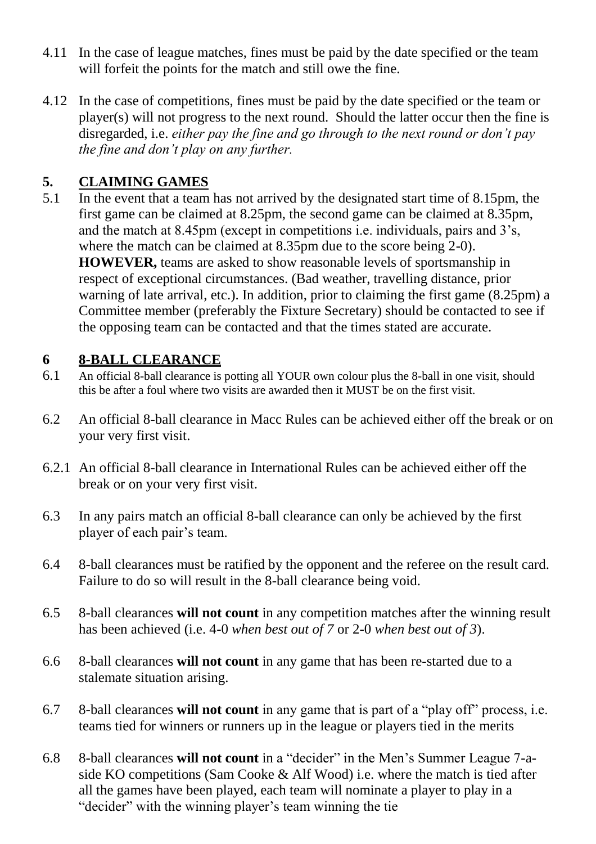- 4.11 In the case of league matches, fines must be paid by the date specified or the team will forfeit the points for the match and still owe the fine.
- 4.12 In the case of competitions, fines must be paid by the date specified or the team or player(s) will not progress to the next round. Should the latter occur then the fine is disregarded, i.e. *either pay the fine and go through to the next round or don't pay the fine and don't play on any further.*

### **5. CLAIMING GAMES**

5.1 In the event that a team has not arrived by the designated start time of 8.15pm, the first game can be claimed at 8.25pm, the second game can be claimed at 8.35pm, and the match at 8.45pm (except in competitions i.e. individuals, pairs and 3's, where the match can be claimed at 8.35pm due to the score being 2-0). **HOWEVER,** teams are asked to show reasonable levels of sportsmanship in respect of exceptional circumstances. (Bad weather, travelling distance, prior warning of late arrival, etc.). In addition, prior to claiming the first game (8.25pm) a Committee member (preferably the Fixture Secretary) should be contacted to see if the opposing team can be contacted and that the times stated are accurate.

### **6 8-BALL CLEARANCE**

- 6.1 An official 8-ball clearance is potting all YOUR own colour plus the 8-ball in one visit, should this be after a foul where two visits are awarded then it MUST be on the first visit.
- 6.2 An official 8-ball clearance in Macc Rules can be achieved either off the break or on your very first visit.
- 6.2.1 An official 8-ball clearance in International Rules can be achieved either off the break or on your very first visit.
- 6.3 In any pairs match an official 8-ball clearance can only be achieved by the first player of each pair's team.
- 6.4 8-ball clearances must be ratified by the opponent and the referee on the result card. Failure to do so will result in the 8-ball clearance being void.
- 6.5 8-ball clearances **will not count** in any competition matches after the winning result has been achieved (i.e. 4-0 *when best out of 7* or 2-0 *when best out of 3*).
- 6.6 8-ball clearances **will not count** in any game that has been re-started due to a stalemate situation arising.
- 6.7 8-ball clearances **will not count** in any game that is part of a "play off" process, i.e. teams tied for winners or runners up in the league or players tied in the merits
- 6.8 8-ball clearances **will not count** in a "decider" in the Men's Summer League 7-aside KO competitions (Sam Cooke & Alf Wood) i.e. where the match is tied after all the games have been played, each team will nominate a player to play in a "decider" with the winning player's team winning the tie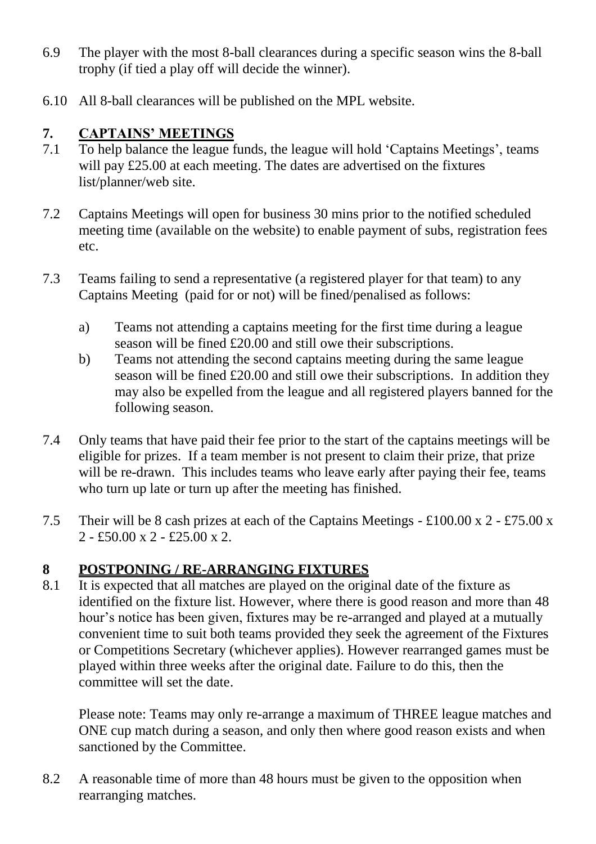- 6.9 The player with the most 8-ball clearances during a specific season wins the 8-ball trophy (if tied a play off will decide the winner).
- 6.10 All 8-ball clearances will be published on the MPL website.

### **7. CAPTAINS' MEETINGS**

- 7.1 To help balance the league funds, the league will hold 'Captains Meetings', teams will pay £25.00 at each meeting. The dates are advertised on the fixtures list/planner/web site.
- 7.2 Captains Meetings will open for business 30 mins prior to the notified scheduled meeting time (available on the website) to enable payment of subs, registration fees etc.
- 7.3 Teams failing to send a representative (a registered player for that team) to any Captains Meeting (paid for or not) will be fined/penalised as follows:
	- a) Teams not attending a captains meeting for the first time during a league season will be fined £20.00 and still owe their subscriptions.
	- b) Teams not attending the second captains meeting during the same league season will be fined £20.00 and still owe their subscriptions. In addition they may also be expelled from the league and all registered players banned for the following season.
- 7.4 Only teams that have paid their fee prior to the start of the captains meetings will be eligible for prizes. If a team member is not present to claim their prize, that prize will be re-drawn. This includes teams who leave early after paying their fee, teams who turn up late or turn up after the meeting has finished.
- 7.5 Their will be 8 cash prizes at each of the Captains Meetings £100.00 x 2 £75.00 x  $2 - \pounds 50.00 \times 2 - \pounds 25.00 \times 2$ .

### **8 POSTPONING / RE-ARRANGING FIXTURES**

8.1 It is expected that all matches are played on the original date of the fixture as identified on the fixture list. However, where there is good reason and more than 48 hour's notice has been given, fixtures may be re-arranged and played at a mutually convenient time to suit both teams provided they seek the agreement of the Fixtures or Competitions Secretary (whichever applies). However rearranged games must be played within three weeks after the original date. Failure to do this, then the committee will set the date.

Please note: Teams may only re-arrange a maximum of THREE league matches and ONE cup match during a season, and only then where good reason exists and when sanctioned by the Committee.

8.2 A reasonable time of more than 48 hours must be given to the opposition when rearranging matches.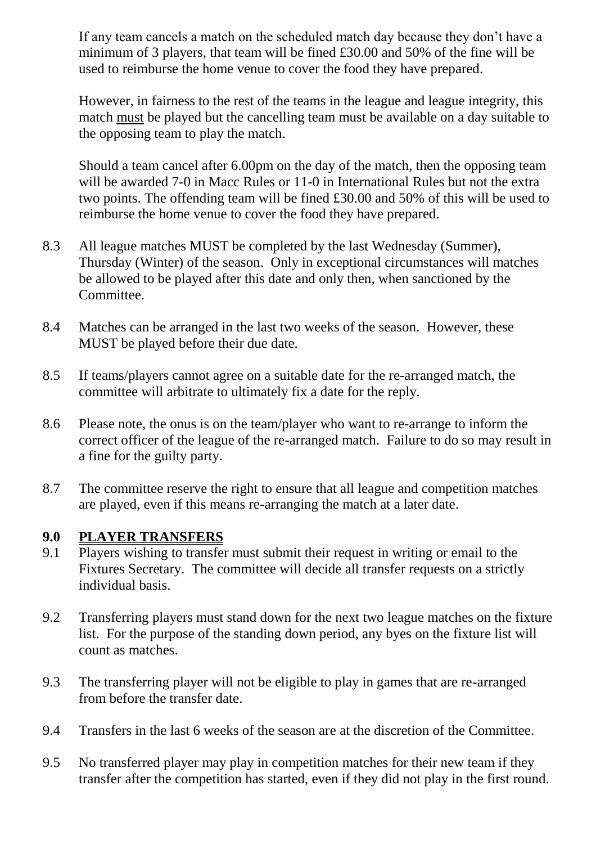If any team cancels a match on the scheduled match day because they don't have a minimum of 3 players, that team will be fined £30.00 and 50% of the fine will be used to reimburse the home venue to cover the food they have prepared.

However, in fairness to the rest of the teams in the league and league integrity, this match must be played but the cancelling team must be available on a day suitable to the opposing team to play the match.

Should a team cancel after 6.00pm on the day of the match, then the opposing team will be awarded 7-0 in Macc Rules or 11-0 in International Rules but not the extra two points. The offending team will be fined £30.00 and 50% of this will be used to reimburse the home venue to cover the food they have prepared.

- 8.3 All league matches MUST be completed by the last Wednesday (Summer), Thursday (Winter) of the season. Only in exceptional circumstances will matches be allowed to be played after this date and only then, when sanctioned by the Committee.
- 8.4 Matches can be arranged in the last two weeks of the season. However, these MUST be played before their due date.
- 8.5 If teams/players cannot agree on a suitable date for the re-arranged match, the committee will arbitrate to ultimately fix a date for the reply.
- 8.6 Please note, the onus is on the team/player who want to re-arrange to inform the correct officer of the league of the re-arranged match. Failure to do so may result in a fine for the guilty party.
- 8.7 The committee reserve the right to ensure that all league and competition matches are played, even if this means re-arranging the match at a later date.

### **9.0 PLAYER TRANSFERS**

- 9.1 Players wishing to transfer must submit their request in writing or email to the Fixtures Secretary. The committee will decide all transfer requests on a strictly individual basis.
- 9.2 Transferring players must stand down for the next two league matches on the fixture list. For the purpose of the standing down period, any byes on the fixture list will count as matches.
- 9.3 The transferring player will not be eligible to play in games that are re-arranged from before the transfer date.
- 9.4 Transfers in the last 6 weeks of the season are at the discretion of the Committee.
- 9.5 No transferred player may play in competition matches for their new team if they transfer after the competition has started, even if they did not play in the first round.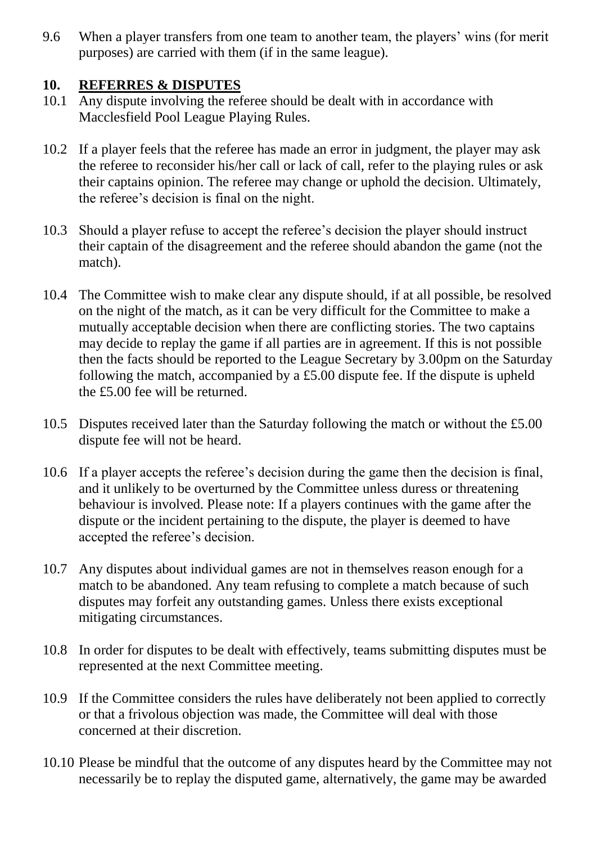9.6 When a player transfers from one team to another team, the players' wins (for merit purposes) are carried with them (if in the same league).

### **10. REFERRES & DISPUTES**

- 10.1 Any dispute involving the referee should be dealt with in accordance with Macclesfield Pool League Playing Rules.
- 10.2 If a player feels that the referee has made an error in judgment, the player may ask the referee to reconsider his/her call or lack of call, refer to the playing rules or ask their captains opinion. The referee may change or uphold the decision. Ultimately, the referee's decision is final on the night.
- 10.3 Should a player refuse to accept the referee's decision the player should instruct their captain of the disagreement and the referee should abandon the game (not the match).
- 10.4 The Committee wish to make clear any dispute should, if at all possible, be resolved on the night of the match, as it can be very difficult for the Committee to make a mutually acceptable decision when there are conflicting stories. The two captains may decide to replay the game if all parties are in agreement. If this is not possible then the facts should be reported to the League Secretary by 3.00pm on the Saturday following the match, accompanied by a £5.00 dispute fee. If the dispute is upheld the £5.00 fee will be returned.
- 10.5 Disputes received later than the Saturday following the match or without the £5.00 dispute fee will not be heard.
- 10.6 If a player accepts the referee's decision during the game then the decision is final, and it unlikely to be overturned by the Committee unless duress or threatening behaviour is involved. Please note: If a players continues with the game after the dispute or the incident pertaining to the dispute, the player is deemed to have accepted the referee's decision.
- 10.7 Any disputes about individual games are not in themselves reason enough for a match to be abandoned. Any team refusing to complete a match because of such disputes may forfeit any outstanding games. Unless there exists exceptional mitigating circumstances.
- 10.8 In order for disputes to be dealt with effectively, teams submitting disputes must be represented at the next Committee meeting.
- 10.9 If the Committee considers the rules have deliberately not been applied to correctly or that a frivolous objection was made, the Committee will deal with those concerned at their discretion.
- 10.10 Please be mindful that the outcome of any disputes heard by the Committee may not necessarily be to replay the disputed game, alternatively, the game may be awarded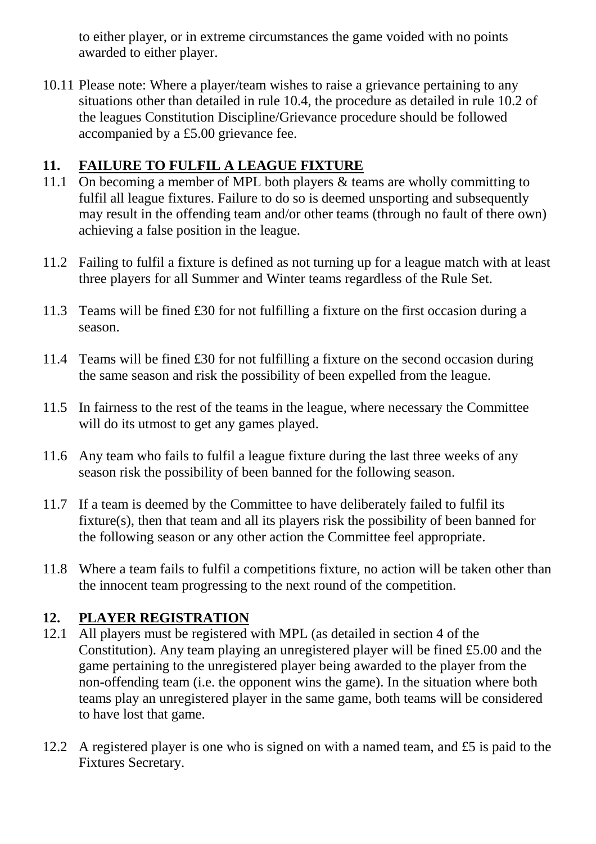to either player, or in extreme circumstances the game voided with no points awarded to either player.

10.11 Please note: Where a player/team wishes to raise a grievance pertaining to any situations other than detailed in rule 10.4, the procedure as detailed in rule 10.2 of the leagues Constitution Discipline/Grievance procedure should be followed accompanied by a £5.00 grievance fee.

### **11. FAILURE TO FULFIL A LEAGUE FIXTURE**

- 11.1 On becoming a member of MPL both players & teams are wholly committing to fulfil all league fixtures. Failure to do so is deemed unsporting and subsequently may result in the offending team and/or other teams (through no fault of there own) achieving a false position in the league.
- 11.2 Failing to fulfil a fixture is defined as not turning up for a league match with at least three players for all Summer and Winter teams regardless of the Rule Set.
- 11.3 Teams will be fined £30 for not fulfilling a fixture on the first occasion during a season.
- 11.4 Teams will be fined £30 for not fulfilling a fixture on the second occasion during the same season and risk the possibility of been expelled from the league.
- 11.5 In fairness to the rest of the teams in the league, where necessary the Committee will do its utmost to get any games played.
- 11.6 Any team who fails to fulfil a league fixture during the last three weeks of any season risk the possibility of been banned for the following season.
- 11.7 If a team is deemed by the Committee to have deliberately failed to fulfil its fixture(s), then that team and all its players risk the possibility of been banned for the following season or any other action the Committee feel appropriate.
- 11.8 Where a team fails to fulfil a competitions fixture, no action will be taken other than the innocent team progressing to the next round of the competition.

### **12. PLAYER REGISTRATION**

- 12.1 All players must be registered with MPL (as detailed in section 4 of the Constitution). Any team playing an unregistered player will be fined £5.00 and the game pertaining to the unregistered player being awarded to the player from the non-offending team (i.e. the opponent wins the game). In the situation where both teams play an unregistered player in the same game, both teams will be considered to have lost that game.
- 12.2 A registered player is one who is signed on with a named team, and £5 is paid to the Fixtures Secretary.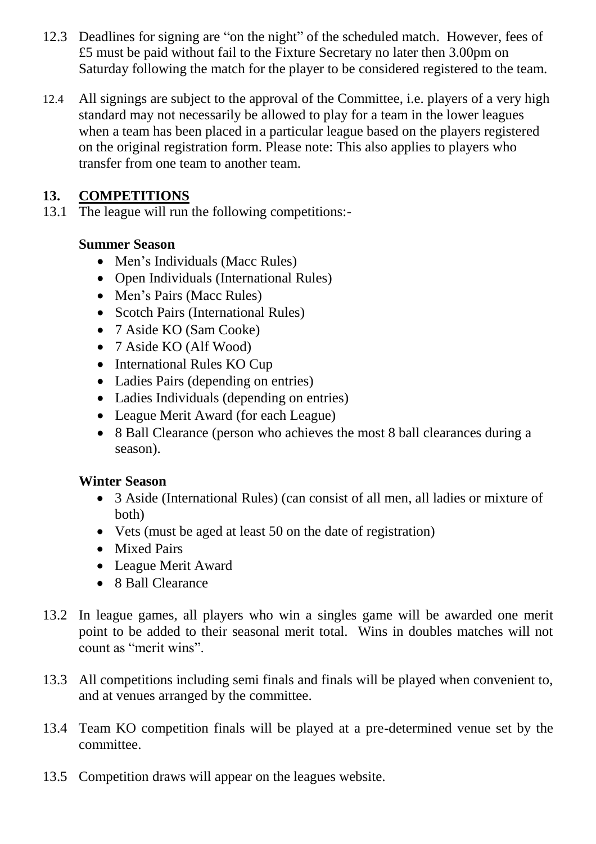- 12.3 Deadlines for signing are "on the night" of the scheduled match. However, fees of £5 must be paid without fail to the Fixture Secretary no later then 3.00pm on Saturday following the match for the player to be considered registered to the team.
- 12.4 All signings are subject to the approval of the Committee, i.e. players of a very high standard may not necessarily be allowed to play for a team in the lower leagues when a team has been placed in a particular league based on the players registered on the original registration form. Please note: This also applies to players who transfer from one team to another team.

### **13. COMPETITIONS**

13.1 The league will run the following competitions:-

### **Summer Season**

- Men's Individuals (Macc Rules)
- Open Individuals (International Rules)
- Men's Pairs (Macc Rules)
- Scotch Pairs (International Rules)
- 7 Aside KO (Sam Cooke)
- 7 Aside KO (Alf Wood)
- International Rules KO Cup
- Ladies Pairs (depending on entries)
- Ladies Individuals (depending on entries)
- League Merit Award (for each League)
- 8 Ball Clearance (person who achieves the most 8 ball clearances during a season).

### **Winter Season**

- 3 Aside (International Rules) (can consist of all men, all ladies or mixture of both)
- Vets (must be aged at least 50 on the date of registration)
- Mixed Pairs
- League Merit Award
- 8 Ball Clearance
- 13.2 In league games, all players who win a singles game will be awarded one merit point to be added to their seasonal merit total. Wins in doubles matches will not count as "merit wins".
- 13.3 All competitions including semi finals and finals will be played when convenient to, and at venues arranged by the committee.
- 13.4 Team KO competition finals will be played at a pre-determined venue set by the committee.
- 13.5 Competition draws will appear on the leagues website.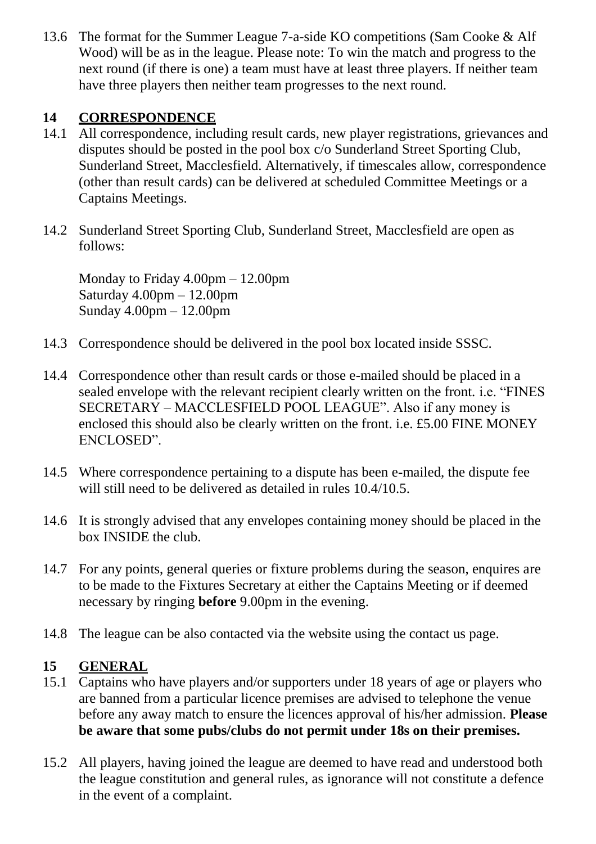13.6 The format for the Summer League 7-a-side KO competitions (Sam Cooke & Alf Wood) will be as in the league. Please note: To win the match and progress to the next round (if there is one) a team must have at least three players. If neither team have three players then neither team progresses to the next round.

### **14 CORRESPONDENCE**

- 14.1 All correspondence, including result cards, new player registrations, grievances and disputes should be posted in the pool box c/o Sunderland Street Sporting Club, Sunderland Street, Macclesfield. Alternatively, if timescales allow, correspondence (other than result cards) can be delivered at scheduled Committee Meetings or a Captains Meetings.
- 14.2 Sunderland Street Sporting Club, Sunderland Street, Macclesfield are open as follows:

Monday to Friday 4.00pm – 12.00pm Saturday 4.00pm – 12.00pm Sunday 4.00pm – 12.00pm

- 14.3 Correspondence should be delivered in the pool box located inside SSSC.
- 14.4 Correspondence other than result cards or those e-mailed should be placed in a sealed envelope with the relevant recipient clearly written on the front. i.e. "FINES SECRETARY – MACCLESFIELD POOL LEAGUE". Also if any money is enclosed this should also be clearly written on the front. i.e. £5.00 FINE MONEY ENCLOSED".
- 14.5 Where correspondence pertaining to a dispute has been e-mailed, the dispute fee will still need to be delivered as detailed in rules  $10.4/10.5$ .
- 14.6 It is strongly advised that any envelopes containing money should be placed in the box INSIDE the club.
- 14.7 For any points, general queries or fixture problems during the season, enquires are to be made to the Fixtures Secretary at either the Captains Meeting or if deemed necessary by ringing **before** 9.00pm in the evening.
- 14.8 The league can be also contacted via the website using the contact us page.

### **15 GENERAL**

- 15.1 Captains who have players and/or supporters under 18 years of age or players who are banned from a particular licence premises are advised to telephone the venue before any away match to ensure the licences approval of his/her admission. **Please be aware that some pubs/clubs do not permit under 18s on their premises.**
- 15.2 All players, having joined the league are deemed to have read and understood both the league constitution and general rules, as ignorance will not constitute a defence in the event of a complaint.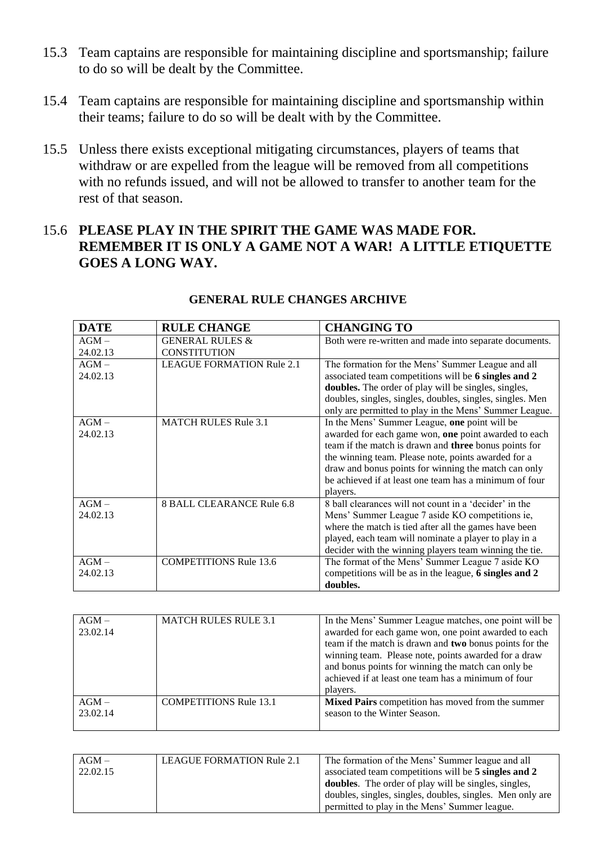- 15.3 Team captains are responsible for maintaining discipline and sportsmanship; failure to do so will be dealt by the Committee.
- 15.4 Team captains are responsible for maintaining discipline and sportsmanship within their teams; failure to do so will be dealt with by the Committee.
- 15.5 Unless there exists exceptional mitigating circumstances, players of teams that withdraw or are expelled from the league will be removed from all competitions with no refunds issued, and will not be allowed to transfer to another team for the rest of that season.

### 15.6 **PLEASE PLAY IN THE SPIRIT THE GAME WAS MADE FOR. REMEMBER IT IS ONLY A GAME NOT A WAR! A LITTLE ETIQUETTE GOES A LONG WAY.**

| <b>DATE</b> | <b>RULE CHANGE</b>               | <b>CHANGING TO</b>                                           |
|-------------|----------------------------------|--------------------------------------------------------------|
| $AGM -$     | <b>GENERAL RULES &amp;</b>       | Both were re-written and made into separate documents.       |
| 24.02.13    | <b>CONSTITUTION</b>              |                                                              |
| $AGM -$     | <b>LEAGUE FORMATION Rule 2.1</b> | The formation for the Mens' Summer League and all            |
| 24.02.13    |                                  | associated team competitions will be 6 singles and 2         |
|             |                                  | doubles. The order of play will be singles, singles,         |
|             |                                  | doubles, singles, singles, doubles, singles, singles. Men    |
|             |                                  | only are permitted to play in the Mens' Summer League.       |
| $AGM -$     | <b>MATCH RULES Rule 3.1</b>      | In the Mens' Summer League, one point will be                |
| 24.02.13    |                                  | awarded for each game won, one point awarded to each         |
|             |                                  | team if the match is drawn and <b>three</b> bonus points for |
|             |                                  | the winning team. Please note, points awarded for a          |
|             |                                  | draw and bonus points for winning the match can only         |
|             |                                  | be achieved if at least one team has a minimum of four       |
|             |                                  | players.                                                     |
| $AGM -$     | 8 BALL CLEARANCE Rule 6.8        | 8 ball clearances will not count in a 'decider' in the       |
| 24.02.13    |                                  | Mens' Summer League 7 aside KO competitions ie,              |
|             |                                  | where the match is tied after all the games have been        |
|             |                                  | played, each team will nominate a player to play in a        |
|             |                                  | decider with the winning players team winning the tie.       |
| $AGM -$     | <b>COMPETITIONS Rule 13.6</b>    | The format of the Mens' Summer League 7 aside KO             |
| 24.02.13    |                                  | competitions will be as in the league, 6 singles and 2       |
|             |                                  | doubles.                                                     |

#### **GENERAL RULE CHANGES ARCHIVE**

| $AGM -$  | <b>MATCH RULES RULE 3.1</b>   | In the Mens' Summer League matches, one point will be   |
|----------|-------------------------------|---------------------------------------------------------|
| 23.02.14 |                               | awarded for each game won, one point awarded to each    |
|          |                               | team if the match is drawn and two bonus points for the |
|          |                               | winning team. Please note, points awarded for a draw    |
|          |                               | and bonus points for winning the match can only be      |
|          |                               | achieved if at least one team has a minimum of four     |
|          |                               | players.                                                |
| $AGM -$  | <b>COMPETITIONS Rule 13.1</b> | Mixed Pairs competition has moved from the summer       |
| 23.02.14 |                               | season to the Winter Season.                            |
|          |                               |                                                         |

| $AGM -$  | LEAGUE FORMATION Rule 2.1 | The formation of the Mens' Summer league and all            |
|----------|---------------------------|-------------------------------------------------------------|
| 22.02.15 |                           | associated team competitions will be 5 singles and 2        |
|          |                           | <b>doubles.</b> The order of play will be singles, singles, |
|          |                           | doubles, singles, singles, doubles, singles. Men only are   |
|          |                           | permitted to play in the Mens' Summer league.               |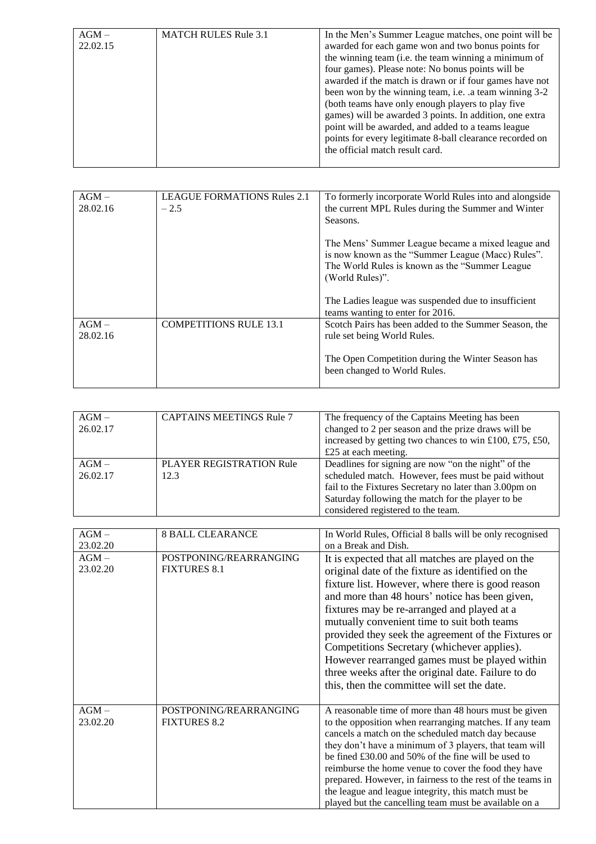| $AGM -$<br>22.02.15 | <b>MATCH RULES Rule 3.1</b> | In the Men's Summer League matches, one point will be<br>awarded for each game won and two bonus points for<br>the winning team (i.e. the team winning a minimum of<br>four games). Please note: No bonus points will be<br>awarded if the match is drawn or if four games have not<br>been won by the winning team, i.e. a team winning 3-2<br>(both teams have only enough players to play five<br>games) will be awarded 3 points. In addition, one extra<br>point will be awarded, and added to a teams league<br>points for every legitimate 8-ball clearance recorded on<br>the official match result card. |
|---------------------|-----------------------------|-------------------------------------------------------------------------------------------------------------------------------------------------------------------------------------------------------------------------------------------------------------------------------------------------------------------------------------------------------------------------------------------------------------------------------------------------------------------------------------------------------------------------------------------------------------------------------------------------------------------|

| $AGM -$             | <b>LEAGUE FORMATIONS Rules 2.1</b> | To formerly incorporate World Rules into and alongside                                                                                                                       |
|---------------------|------------------------------------|------------------------------------------------------------------------------------------------------------------------------------------------------------------------------|
| 28.02.16            | $-2.5$                             | the current MPL Rules during the Summer and Winter                                                                                                                           |
|                     |                                    | Seasons.                                                                                                                                                                     |
|                     |                                    |                                                                                                                                                                              |
|                     |                                    | The Mens' Summer League became a mixed league and<br>is now known as the "Summer League (Macc) Rules".<br>The World Rules is known as the "Summer League"<br>(World Rules)". |
|                     |                                    | The Ladies league was suspended due to insufficient<br>teams wanting to enter for 2016.                                                                                      |
| $AGM -$<br>28.02.16 | <b>COMPETITIONS RULE 13.1</b>      | Scotch Pairs has been added to the Summer Season, the<br>rule set being World Rules.                                                                                         |
|                     |                                    | The Open Competition during the Winter Season has<br>been changed to World Rules.                                                                                            |

| $AGM -$<br>26.02.17 | <b>CAPTAINS MEETINGS Rule 7</b>         | The frequency of the Captains Meeting has been<br>changed to 2 per season and the prize draws will be<br>increased by getting two chances to win £100, £75, £50,<br>£25 at each meeting.                                                                        |
|---------------------|-----------------------------------------|-----------------------------------------------------------------------------------------------------------------------------------------------------------------------------------------------------------------------------------------------------------------|
| $AGM -$<br>26.02.17 | <b>PLAYER REGISTRATION Rule</b><br>12.3 | Deadlines for signing are now "on the night" of the<br>scheduled match. However, fees must be paid without<br>fail to the Fixtures Secretary no later than 3.00pm on<br>Saturday following the match for the player to be<br>considered registered to the team. |

| $AGM -$  | <b>8 BALL CLEARANCE</b> | In World Rules, Official 8 balls will be only recognised   |
|----------|-------------------------|------------------------------------------------------------|
| 23.02.20 |                         | on a Break and Dish.                                       |
| $AGM -$  | POSTPONING/REARRANGING  | It is expected that all matches are played on the          |
| 23.02.20 | <b>FIXTURES 8.1</b>     | original date of the fixture as identified on the          |
|          |                         | fixture list. However, where there is good reason          |
|          |                         | and more than 48 hours' notice has been given,             |
|          |                         | fixtures may be re-arranged and played at a                |
|          |                         | mutually convenient time to suit both teams                |
|          |                         | provided they seek the agreement of the Fixtures or        |
|          |                         | Competitions Secretary (whichever applies).                |
|          |                         | However rearranged games must be played within             |
|          |                         | three weeks after the original date. Failure to do         |
|          |                         | this, then the committee will set the date.                |
|          |                         |                                                            |
| $AGM -$  | POSTPONING/REARRANGING  | A reasonable time of more than 48 hours must be given      |
| 23.02.20 | <b>FIXTURES 8.2</b>     | to the opposition when rearranging matches. If any team    |
|          |                         | cancels a match on the scheduled match day because         |
|          |                         | they don't have a minimum of 3 players, that team will     |
|          |                         | be fined £30.00 and 50% of the fine will be used to        |
|          |                         | reimburse the home venue to cover the food they have       |
|          |                         | prepared. However, in fairness to the rest of the teams in |
|          |                         | the league and league integrity, this match must be        |
|          |                         | played but the cancelling team must be available on a      |